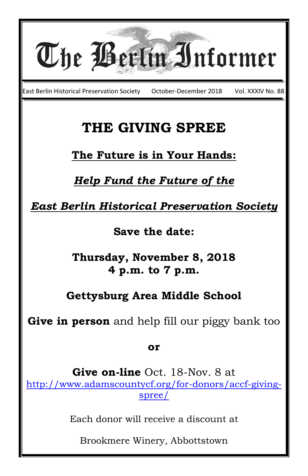

Brookmere Winery, Abbottstown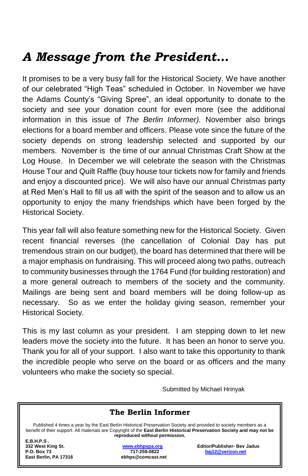# *A Message from the President…*

It promises to be a very busy fall for the Historical Society. We have another of our celebrated "High Teas" scheduled in October. In November we have the Adams County's "Giving Spree", an ideal opportunity to donate to the society and see your donation count for even more (see the additional information in this issue of *The Berlin Informer).* November also brings elections for a board member and officers. Please vote since the future of the society depends on strong leadership selected and supported by our members. November is the time of our annual Christmas Craft Show at the Log House. In December we will celebrate the season with the Christmas House Tour and Quilt Raffle (buy house tour tickets now for family and friends and enjoy a discounted price). We will also have our annual Christmas party at Red Men's Hall to fill us all with the spirit of the season and to allow us an opportunity to enjoy the many friendships which have been forged by the Historical Society.

This year fall will also feature something new for the Historical Society. Given recent financial reverses (the cancellation of Colonial Day has put tremendous strain on our budget), the board has determined that there will be a major emphasis on fundraising. This will proceed along two paths, outreach to community businesses through the 1764 Fund (for building restoration) and a more general outreach to members of the society and the community. Mailings are being sent and board members will be doing follow-up as necessary. So as we enter the holiday giving season, remember your Historical Society.

This is my last column as your president. I am stepping down to let new leaders move the society into the future. It has been an honor to serve you. Thank you for all of your support. I also want to take this opportunity to thank the incredible people who serve on the board or as officers and the many volunteers who make the society so special.

Submitted by Michael Hrinyak

### **The Berlin Informer The Berlin Informer**

**Published 4 times a year by the East Berlin Historical Preservation Society members as a benefit of society members as a benefit of the Preservation Society members as a benefit of the Preservation Society members as a be** Published 4 times a year by the East Berlin Historical Preservation Society and provided to society members as a benefit of their support. All materials are Copyright of the **East Berlin Historical Preservation Society and may not be** 

their support. All materials are Copyright of the **East Berlin Historical Preservation Society and may not be reproduced**  332 West King St.<br>P.O. Box 73 **E.B.H.P.S . East Berlin, PA 17316** 

www.ebhpspa.org **P.O. Box 73 717-259-0822 [baj12@verizon.net](mailto:baj12@verizon.net)**

**332 West King St. [www.ebhpspa.org](http://www.ebhpspa.org/) Editor/Publisher- Bev Jadus**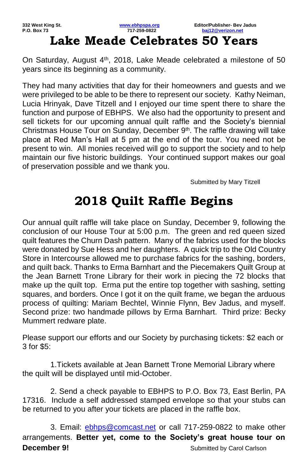

On Saturday, August 4<sup>th</sup>, 2018, Lake Meade celebrated a milestone of 50 years since its beginning as a community.

They had many activities that day for their homeowners and guests and we were privileged to be able to be there to represent our society. Kathy Neiman, Lucia Hrinyak, Dave Titzell and I enjoyed our time spent there to share the function and purpose of EBHPS. We also had the opportunity to present and sell tickets for our upcoming annual quilt raffle and the Society's biennial Christmas House Tour on Sunday, December 9<sup>th</sup>. The raffle drawing will take place at Red Man's Hall at 5 pm at the end of the tour. You need not be present to win. All monies received will go to support the society and to help maintain our five historic buildings. Your continued support makes our goal of preservation possible and we thank you.

Submitted by Mary Titzell

## **2018 Quilt Raffle Begins**

Our annual quilt raffle will take place on Sunday, December 9, following the conclusion of our House Tour at 5:00 p.m. The green and red queen sized quilt features the Churn Dash pattern. Many of the fabrics used for the blocks were donated by Sue Hess and her daughters. A quick trip to the Old Country Store in Intercourse allowed me to purchase fabrics for the sashing, borders, and quilt back. Thanks to Erma Barnhart and the Piecemakers Quilt Group at the Jean Barnett Trone Library for their work in piecing the 72 blocks that make up the quilt top. Erma put the entire top together with sashing, setting squares, and borders. Once I got it on the quilt frame, we began the arduous process of quilting: Mariam Bechtel, Winnie Flynn, Bev Jadus, and myself. Second prize: two handmade pillows by Erma Barnhart. Third prize: Becky Mummert redware plate.

Please support our efforts and our Society by purchasing tickets: \$2 each or 3 for \$5:

1.Tickets available at Jean Barnett Trone Memorial Library where the quilt will be displayed until mid-October.

2. Send a check payable to EBHPS to P.O. Box 73, East Berlin, PA 17316. Include a self addressed stamped envelope so that your stubs can be returned to you after your tickets are placed in the raffle box.

3. Email: [ebhps@comcast.net](mailto:ebhps@comcast.net) or call 717-259-0822 to make other arrangements. **Better yet, come to the Society's great house tour on December 9!** Submitted by Carol Carlson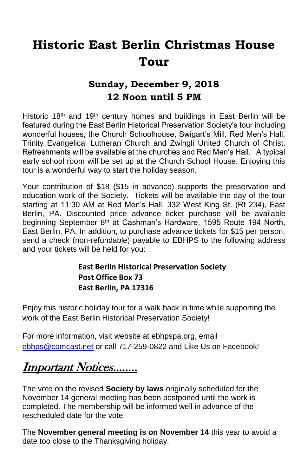# **Historic East Berlin Christmas House Tour**

#### **Sunday, December 9, 2018 12 Noon until 5 PM**

Historic 18<sup>th</sup> and 19<sup>th</sup> century homes and buildings in East Berlin will be featured during the East Berlin Historical Preservation Society's tour including wonderful houses, the Church Schoolhouse, Swigart's Mill, Red Men's Hall, Trinity Evangelical Lutheran Church and Zwingli United Church of Christ. Refreshments will be available at the churches and Red Men's Hall. A typical early school room will be set up at the Church School House. Enjoying this tour is a wonderful way to start the holiday season.

Your contribution of \$18 (\$15 in advance) supports the preservation and education work of the Society. Tickets will be available the day of the tour starting at 11:30 AM at Red Men's Hall, 332 West King St. (Rt 234), East Berlin, PA. Discounted price advance ticket purchase will be available beginning September 8<sup>th</sup> at Cashman's Hardware, 1595 Route 194 North, East Berlin, PA. In addition, to purchase advance tickets for \$15 per person, send a check (non-refundable) payable to EBHPS to the following address and your tickets will be held for you:

#### **East Berlin Historical Preservation Society Post Office Box 73 East Berlin, PA 17316**

Enjoy this historic holiday tour for a walk back in time while supporting the work of the East Berlin Historical Preservation Society!

For more information, visit website at ebhpspa.org, email [ebhps@comcast.net](mailto:ebhps@comcast.net) or call 717-259-0822 and Like Us on Facebook!

## Important Notices……..

The vote on the revised **Society by laws** originally scheduled for the November 14 general meeting has been postponed until the work is completed. The membership will be informed well in advance of the rescheduled date for the vote.

The **November general meeting is on November 14** this year to avoid a date too close to the Thanksgiving holiday.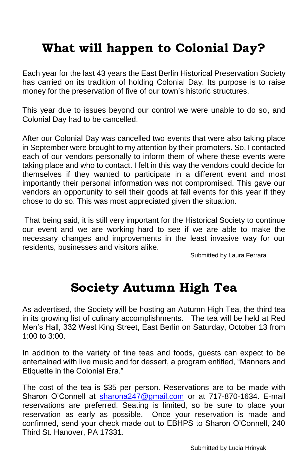# **What will happen to Colonial Day?**

Each year for the last 43 years the East Berlin Historical Preservation Society has carried on its tradition of holding Colonial Day. Its purpose is to raise money for the preservation of five of our town's historic structures.

This year due to issues beyond our control we were unable to do so, and Colonial Day had to be cancelled.

After our Colonial Day was cancelled two events that were also taking place in September were brought to my attention by their promoters. So, I contacted each of our vendors personally to inform them of where these events were taking place and who to contact. I felt in this way the vendors could decide for themselves if they wanted to participate in a different event and most importantly their personal information was not compromised. This gave our vendors an opportunity to sell their goods at fall events for this year if they chose to do so. This was most appreciated given the situation.

That being said, it is still very important for the Historical Society to continue our event and we are working hard to see if we are able to make the necessary changes and improvements in the least invasive way for our residents, businesses and visitors alike.

Submitted by Laura Ferrara

## **Society Autumn High Tea**

As advertised, the Society will be hosting an Autumn High Tea, the third tea in its growing list of culinary accomplishments. The tea will be held at Red Men's Hall, 332 West King Street, East Berlin on Saturday, October 13 from 1:00 to 3:00.

In addition to the variety of fine teas and foods, guests can expect to be entertained with live music and for dessert, a program entitled, "Manners and Etiquette in the Colonial Era."

The cost of the tea is \$35 per person. Reservations are to be made with Sharon O'Connell at [sharona247@gmail.com](mailto:sharona247@gmail.com) or at 717-870-1634. E-mail reservations are preferred. Seating is limited, so be sure to place your reservation as early as possible. Once your reservation is made and confirmed, send your check made out to EBHPS to Sharon O'Connell, 240 Third St. Hanover, PA 17331.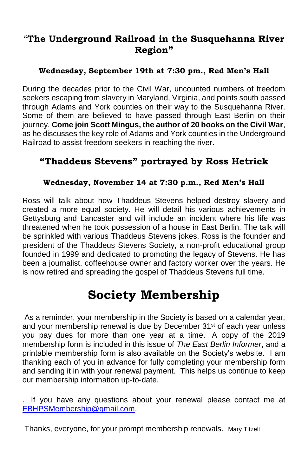#### "**The Underground Railroad in the Susquehanna River Region"**

#### **Wednesday, September 19th at 7:30 pm., Red Men's Hall**

During the decades prior to the Civil War, uncounted numbers of freedom seekers escaping from slavery in Maryland, Virginia, and points south passed through Adams and York counties on their way to the Susquehanna River. Some of them are believed to have passed through East Berlin on their journey. **Come join Scott Mingus, the author of 20 books on the Civil War**, as he discusses the key role of Adams and York counties in the Underground Railroad to assist freedom seekers in reaching the river.

#### **"Thaddeus Stevens" portrayed by Ross Hetrick**

#### **Wednesday, November 14 at 7:30 p.m., Red Men's Hall**

Ross will talk about how Thaddeus Stevens helped destroy slavery and created a more equal society. He will detail his various achievements in Gettysburg and Lancaster and will include an incident where his life was threatened when he took possession of a house in East Berlin. The talk will be sprinkled with various Thaddeus Stevens jokes. Ross is the founder and president of the Thaddeus Stevens Society, a non-profit educational group founded in 1999 and dedicated to promoting the legacy of Stevens. He has been a journalist, coffeehouse owner and factory worker over the years. He is now retired and spreading the gospel of Thaddeus Stevens full time.

### **Society Membership**

As a reminder, your membership in the Society is based on a calendar year, and your membership renewal is due by December 31<sup>st</sup> of each year unless you pay dues for more than one year at a time. A copy of the 2019 membership form is included in this issue of *The East Berlin Informer*, and a printable membership form is also available on the Society's website. I am thanking each of you in advance for fully completing your membership form and sending it in with your renewal payment. This helps us continue to keep our membership information up-to-date.

If you have any questions about your renewal please contact me at [EBHPSMembership@gmail.com.](mailto:EBHPSMembership@gmail.com)

Thanks, everyone, for your prompt membership renewals. Mary Titzell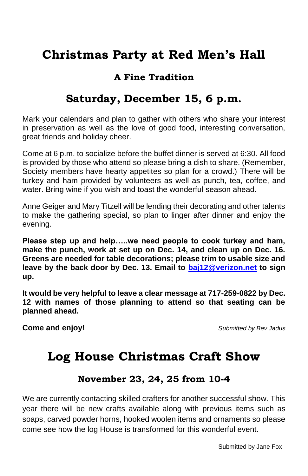### **Christmas Party at Red Men's Hall**

#### **A Fine Tradition**

### **Saturday, December 15, 6 p.m.**

Mark your calendars and plan to gather with others who share your interest in preservation as well as the love of good food, interesting conversation, great friends and holiday cheer.

Come at 6 p.m. to socialize before the buffet dinner is served at 6:30. All food is provided by those who attend so please bring a dish to share. (Remember, Society members have hearty appetites so plan for a crowd.) There will be turkey and ham provided by volunteers as well as punch, tea, coffee, and water. Bring wine if you wish and toast the wonderful season ahead.

Anne Geiger and Mary Titzell will be lending their decorating and other talents to make the gathering special, so plan to linger after dinner and enjoy the evening.

**Please step up and help…..we need people to cook turkey and ham, make the punch, work at set up on Dec. 14, and clean up on Dec. 16. Greens are needed for table decorations; please trim to usable size and leave by the back door by Dec. 13. Email to [baj12@verizon.net](mailto:baj12@verizon.net) to sign up.** 

**It would be very helpful to leave a clear message at 717-259-0822 by Dec. 12 with names of those planning to attend so that seating can be planned ahead.** 

**Come and enjoy!** *Submitted by Bev Jadus*

### **Log House Christmas Craft Show**

#### **November 23, 24, 25 from 10-4**

We are currently contacting skilled crafters for another successful show. This year there will be new crafts available along with previous items such as soaps, carved powder horns, hooked woolen items and ornaments so please come see how the log House is transformed for this wonderful event.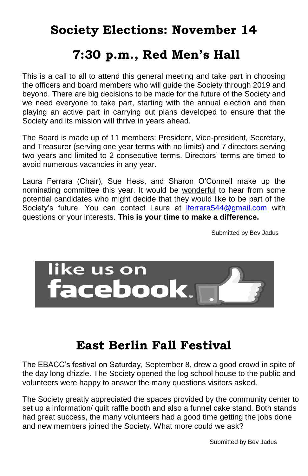## **Society Elections: November 14**

## **7:30 p.m., Red Men's Hall**

This is a call to all to attend this general meeting and take part in choosing the officers and board members who will guide the Society through 2019 and beyond. There are big decisions to be made for the future of the Society and we need everyone to take part, starting with the annual election and then playing an active part in carrying out plans developed to ensure that the Society and its mission will thrive in years ahead.

The Board is made up of 11 members: President, Vice-president, Secretary, and Treasurer (serving one year terms with no limits) and 7 directors serving two years and limited to 2 consecutive terms. Directors' terms are timed to avoid numerous vacancies in any year.

Laura Ferrara (Chair), Sue Hess, and Sharon O'Connell make up the nominating committee this year. It would be wonderful to hear from some potential candidates who might decide that they would like to be part of the Society's future. You can contact Laura at **Iferrara544@gmail.com** with questions or your interests. **This is your time to make a difference.**

Submitted by Bev Jadus



## **East Berlin Fall Festival**

The EBACC's festival on Saturday, September 8, drew a good crowd in spite of the day long drizzle. The Society opened the log school house to the public and volunteers were happy to answer the many questions visitors asked.

The Society greatly appreciated the spaces provided by the community center to set up a information/ quilt raffle booth and also a funnel cake stand. Both stands had great success, the many volunteers had a good time getting the jobs done and new members joined the Society. What more could we ask?

Submitted by Bev Jadus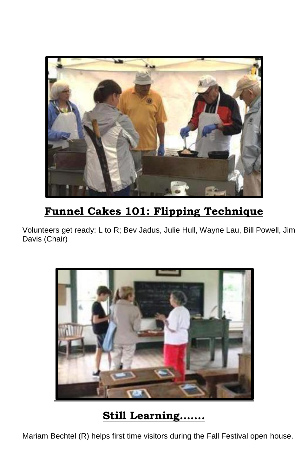

### **Funnel Cakes 101: Flipping Technique**

Volunteers get ready: L to R; Bev Jadus, Julie Hull, Wayne Lau, Bill Powell, Jim Davis (Chair)



**Still Learning…….**

Mariam Bechtel (R) helps first time visitors during the Fall Festival open house.